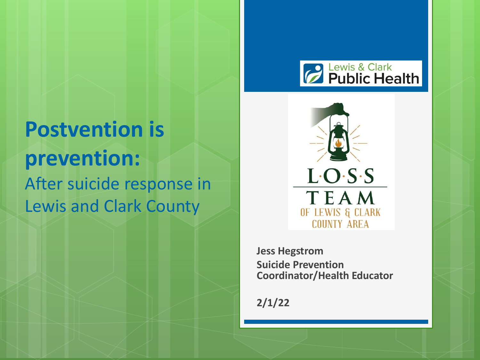

## **Postvention is prevention:** After suicide response in Lewis and Clark County



**Jess Hegstrom Suicide Prevention Coordinator/Health Educator**

**2/1/22**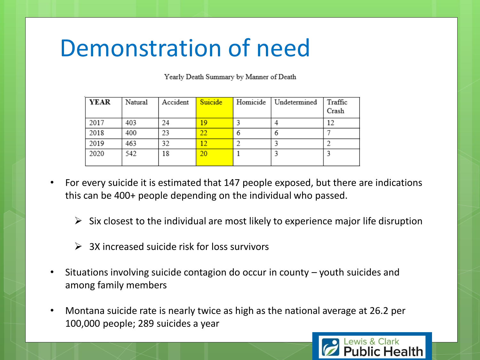## Demonstration of need

Yearly Death Summary by Manner of Death

| <b>YEAR</b> | Natural | Accident | Suicide | Homicide | Undetermined | Traffic<br>Crash |
|-------------|---------|----------|---------|----------|--------------|------------------|
| 2017        | 403     | 24       | 19      |          |              | 12               |
| 2018        | 400     | 23       | 22      |          | O            |                  |
| 2019        | 463     | 32       | 12      |          |              |                  |
| 2020        | 542     | 18       | 20      |          |              |                  |

- For every suicide it is estimated that 147 people exposed, but there are indications this can be 400+ people depending on the individual who passed.
	- $\triangleright$  Six closest to the individual are most likely to experience major life disruption
	- $\geq$  3X increased suicide risk for loss survivors
- Situations involving suicide contagion do occur in county youth suicides and among family members
- Montana suicide rate is nearly twice as high as the national average at 26.2 per 100,000 people; 289 suicides a year

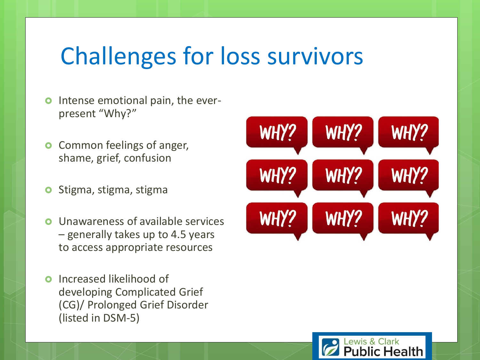## Challenges for loss survivors

- **o** Intense emotional pain, the everpresent "Why?"
- **o** Common feelings of anger, shame, grief, confusion
- **o** Stigma, stigma, stigma
- Unawareness of available services – generally takes up to 4.5 years to access appropriate resources
- **o** Increased likelihood of developing Complicated Grief (CG)/ Prolonged Grief Disorder (listed in DSM-5)



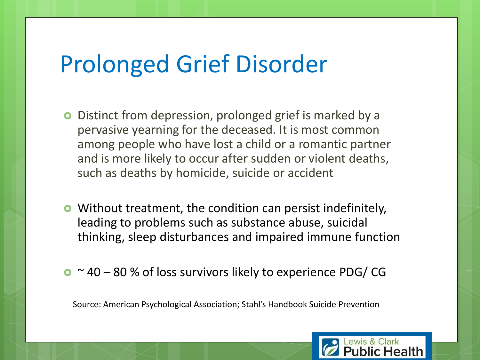## Prolonged Grief Disorder

- **O** Distinct from depression, prolonged grief is marked by a pervasive yearning for the deceased. It is most common among people who have lost a child or a romantic partner and is more likely to occur after sudden or violent deaths, such as deaths by homicide, suicide or accident
- **•** Without treatment, the condition can persist indefinitely, leading to problems such as substance abuse, suicidal thinking, sleep disturbances and impaired immune function
- $\bullet$  ~ 40 80 % of loss survivors likely to experience PDG/CG

Source: American Psychological Association; Stahl's Handbook Suicide Prevention

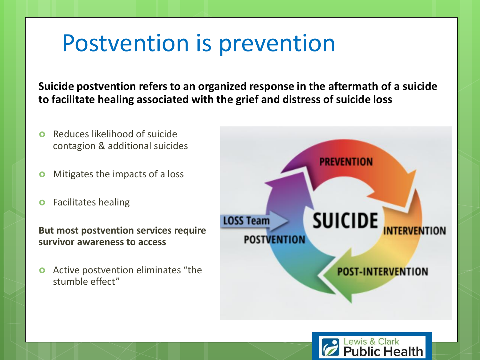## Postvention is prevention

**Suicide postvention refers to an organized response in the aftermath of a suicide to facilitate healing associated with the grief and distress of suicide loss** 

- **O** Reduces likelihood of suicide contagion & additional suicides
- **o** Mitigates the impacts of a loss
- **o** Facilitates healing

**But most postvention services require survivor awareness to access**

**•** Active postvention eliminates "the stumble effect"



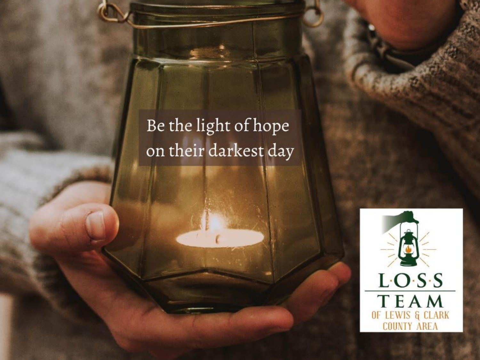Be the light of hope on their darkest day

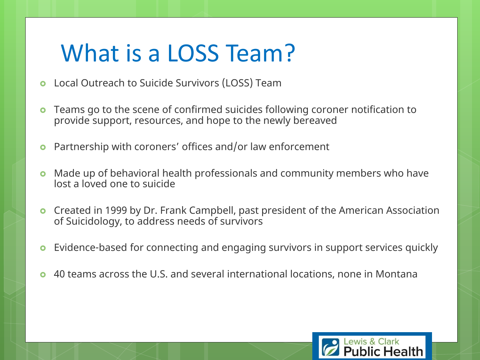## What is a LOSS Team?

- **o** Local Outreach to Suicide Survivors (LOSS) Team
- Teams go to the scene of confirmed suicides following coroner notification to provide support, resources, and hope to the newly bereaved
- **•** Partnership with coroners' offices and/or law enforcement
- Made up of behavioral health professionals and community members who have lost a loved one to suicide
- **o** Created in 1999 by Dr. Frank Campbell, past president of the American Association of Suicidology, to address needs of survivors
- **•** Evidence-based for connecting and engaging survivors in support services quickly
- 40 teams across the U.S. and several international locations, none in Montana

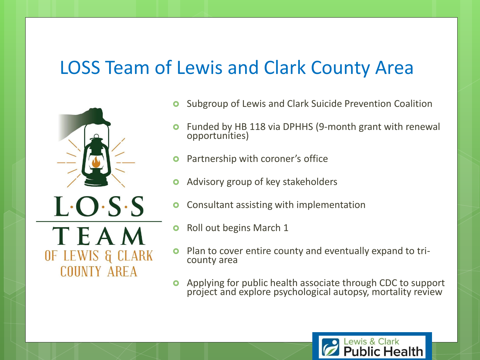#### LOSS Team of Lewis and Clark County Area



- Subgroup of Lewis and Clark Suicide Prevention Coalition
- Funded by HB 118 via DPHHS (9-month grant with renewal opportunities)
- Partnership with coroner's office
- Advisory group of key stakeholders
- Consultant assisting with implementation
- **o** Roll out begins March 1
- Plan to cover entire county and eventually expand to tricounty area
- Applying for public health associate through CDC to support project and explore psychological autopsy, mortality review

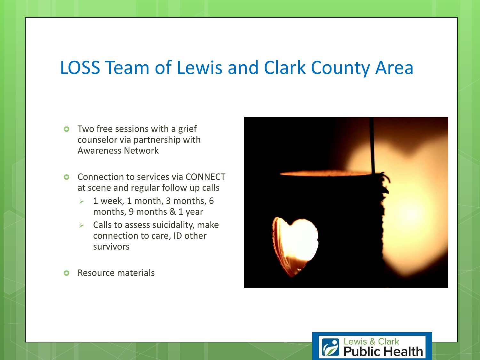#### LOSS Team of Lewis and Clark County Area

- **o** Two free sessions with a grief counselor via partnership with Awareness Network
- **O** Connection to services via CONNECT at scene and regular follow up calls
	- $\geq 1$  week, 1 month, 3 months, 6 months, 9 months & 1 year
	- $\triangleright$  Calls to assess suicidality, make connection to care, ID other survivors
- **o** Resource materials



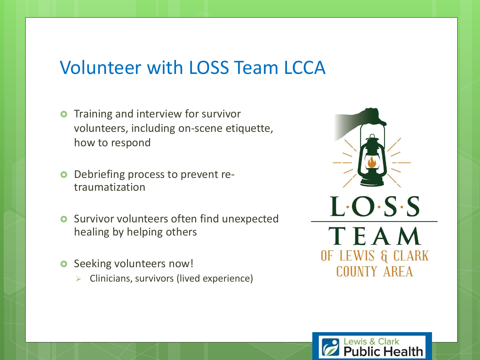#### Volunteer with LOSS Team LCCA

- **o** Training and interview for survivor volunteers, including on-scene etiquette, how to respond
- Debriefing process to prevent retraumatization
- **o** Survivor volunteers often find unexpected healing by helping others
- **o** Seeking volunteers now!
	- ➢ Clinicians, survivors (lived experience)



ewis & Clark

blic Health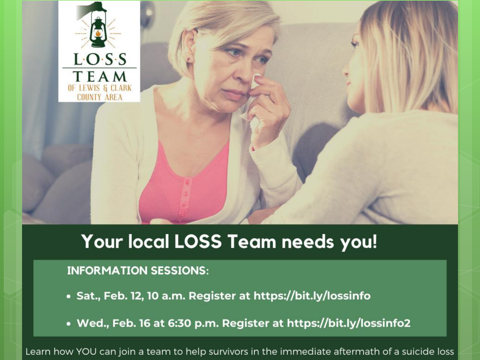



### Your local LOSS Team needs you!

#### **INFORMATION SESSIONS:**

- Sat., Feb. 12, 10 a.m. Register at https://bit.ly/lossinfo
- Wed., Feb. 16 at 6:30 p.m. Register at https://bit.ly/lossinfo2

Learn how YOU can join a team to help survivors in the immediate aftermath of a suicide loss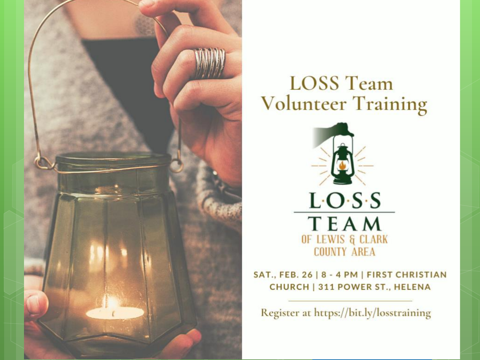

#### **LOSS Team Volunteer Training**



SAT., FEB. 26 | 8 - 4 PM | FIRST CHRISTIAN CHURCH | 311 POWER ST., HELENA

Register at https://bit.ly/losstraining